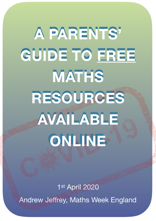**A PARENTS' GUIDE TO FREE MATHS RESOURCES AVAILABLE ONLINE. A PARENTS' GUIDE TO FREE MATHS RESOURCES AVAILABLE ONLINE**

1st April 2020 Andrew Jeffrey, Maths Week England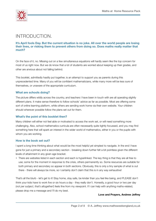

# INTRODUCTION.

### **It's April fools Day. But the current situation is no joke. All over the world people are losing their lives, or risking them to prevent others from doing so. Does maths really matter that much?**

On the face of it, no. Missing out on a few simultaneous equations will hardly seem like the top concern for most of us right now. But we do know that a lot of students are worried about keeping up their grades, and other are anxious about not falling behind.

This booklet, admittedly hastily put together, is an attempt to support you as parents during this unprecedented time. Many of you will be confident mathematicians, while many more will be less sure of themselves, or unaware of the appropriate curriculum.

### **What are schools doing?**

The picture differs wildly across the country, and teachers I have been in touch with are all operating slightly different plans. It make sense therefore to follow schools' advice as far as possible. Most are offering some sort of online learning platform, while others are sending work home via their own website. Your children should wherever possible follow the plans set out for them.

## **What's the point of this booklet then?**

Many children will either not feel able or motivated to access the work set, or will need something more challenging. Also, school mathematics curricula are often necessarily quite tightly focussed, and you may find something here that will spark an interest in the wider world of mathematics, either in you or the pupils with whom you are working.

### **How is the book set out?**

I spent a long time thinking about what would be the most helpful yet simplest to navigate. In the end I have gone for just a primary and a secondary section - breaking down further felt a bit pointless given the different levels of attainment in any given age bracket.

• There are websites listed in each section and each is hyperlinked. The key thing is that they are all free to use; some for the moment in response to the crisis, others permanently so. Some resources are suitable for both primary and secondary so appear in both sections. Obviously, this is only a tiny sample of what is out there - there will always be more, so I certainly don't claim that this is in any way exhaustive!

That's all the blurb - let's get to it! Stay home, stay safe, be kinder than you feel like being, and PLEASE don't think your kids have to work five or six hours a day - they really don't. Honestly, a good hour or two per day (*not per subject, that's altogether!*) feels fine from my viewpoint. If I can help with anything maths-related, please drop me a message and I'll do my best.

#### **Love and Prayers, Andrew Jeffrey**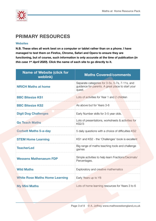

# **PRIMARY RESOURCES**

### **Websites**

**N.B. These sites all work best on a computer or tablet rather than on a phone. I have managed to test them on Firefox, Chrome, Safari and Opera to ensure they are functioning, but of course, such information is only accurate at the time of publication (***in this case 1st April 2020***). Click the name of each site to go directly to it.** 

| <b>Name of Website (click for</b><br>weblink) | <b>Maths Covered/comments</b>                                                                                 |
|-----------------------------------------------|---------------------------------------------------------------------------------------------------------------|
| <b>NRICH Maths at home</b>                    | Separate categories for 3-5s, 5-7s, 7-11s, and<br>guidance for parents. A great place to start your<br>quest. |
| <b>BBC Bitesize KS1</b>                       | Lots of activities for Year 1 and 2 children                                                                  |
| <b>BBC Bitesize KS2</b>                       | As above but for Years 3-6                                                                                    |
| <b>Digit Dog Challenges</b>                   | Early Number skills for 3-5 year olds.                                                                        |
| <b>Go Teach Maths</b>                         | Lots of presentations, worksheets & activities for<br><b>KS2/3</b>                                            |
| <b>Corbett Maths 5-a-day</b>                  | 5 daily questions with a choice of difficulties KS2                                                           |
| <b>STEM Home Learning</b>                     | KS1 and KS2 - the 'Challenges' book is excellent                                                              |
| <b>TeacherLed</b>                             | Big range of maths teaching tools and challenge<br>games                                                      |
| <b>Wessens Mathenaeum FDP</b>                 | Simple activities to help learn Fractions/Decimals/<br>Percentages.                                           |
| <b>Wild Maths</b>                             | Exploratory and creative mathematics                                                                          |
| <b>White Rose Maths Home Learning</b>         | Early Years up to Y8                                                                                          |
| <b>My Mini Maths</b>                          | Lots of home learning resources for Years 3 to 6                                                              |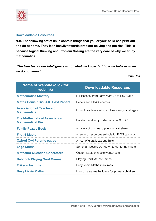

## **Downloadable Resources**

**N.B. The following set of links contain things that you or your child can print out and do at home. They lean heavily towards problem-solving and puzzles. This is because logical thinking and Problem Solving are the very core of why we study mathematics.** 

*"The true test of our intelligence is not what we know, but how we behave when we do not know".* 

#### *John Holt*

| <b>Name of Website (click for</b><br>weblink)                  | <b>Downloadable Resources</b>                      |
|----------------------------------------------------------------|----------------------------------------------------|
| <b>Mathematics Mastery</b>                                     | Full lessons, from Early Years up to Key Stage 3   |
| <b>Maths Genie KS2 SATS Past Papers</b>                        | Papers and Mark Schemes                            |
| <b>Association of Teachers of</b><br><b>Mathematics</b>        | Lots of problem solving and reasoning for all ages |
| <b>The Mathematical Association</b><br><b>Mathematical Pie</b> | Excellent and fun puzzles for ages 9 to 90         |
| <b>Family Puzzle Book</b>                                      | A variety of puzzles to print out and share        |
| <b>First 4 Maths</b>                                           | A range of resources suitable for EYFS upwards     |
| <b>Oxford Owl Parents pages</b>                                | A host of great ideas and links                    |
| <b>Lego Maths</b>                                              | Some fun ideas (scroll down to get to the maths)   |
| <b>Mathsbot Question Generators</b>                            | Customisable printable worksheets                  |
| <b>Babcock Playing Card Games</b>                              | <b>Playing Card Maths Games</b>                    |
| <b>Erikson Institute</b>                                       | Early Years Maths resources                        |
| <b>Busy Lizzie Maths</b>                                       | Lots of great maths ideas for primary children     |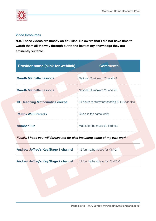

## **Video Resources**

**N.B. These videos are mostly on YouTube. Be aware that I did not have time to watch them all the way through but to the best of my knowledge they are eminently suitable.** 

| <b>Provider name (click for weblink)</b> | <b>Comments</b>                                |
|------------------------------------------|------------------------------------------------|
| <b>Gareth Metcalfe Lessons</b>           | National Curriculum Y3 and Y4                  |
| <b>Gareth Metcalfe Lessons</b>           | National Curriculum Y5 and Y6                  |
| <b>OU Teaching Mathematics course</b>    | 24 hours of study for teaching 8-14 year olds. |
| <b>Maths With Parents</b>                | Clue's in the name really.                     |
| <b>Number Fun</b>                        | Maths for the musically inclined!              |

*Finally, I hope you will forgive me for also including some of my own work:*

| <b>Andrew Jeffrey's Key Stage 1 channel</b> | 12 fun maths videos for Y1/Y2    |
|---------------------------------------------|----------------------------------|
| <b>Andrew Jeffrey's Key Stage 2 channel</b> | 12 fun maths videos for Y3/4/5/6 |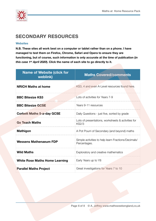

# **SECONDARY RESOURCES**

### **Websites**

**N.B. These sites all work best on a computer or tablet rather than on a phone. I have managed to test them on Firefox, Chrome, Safari and Opera to ensure they are functioning, but of course, such information is only accurate at the time of publication (***in this case 1st April 2020***). Click the name of each site to go directly to it.** 

| <b>Name of Website (click for</b><br>weblink) | <b>Maths Covered/comments</b>                                       |
|-----------------------------------------------|---------------------------------------------------------------------|
| <b>NRICH Maths at home</b>                    | KS3, 4 and even A-Level resources found here.                       |
| <b>BBC Bitesize KS3</b>                       | Lots of activities for Years 7-9                                    |
| <b>BBC Bitesize GCSE</b>                      | Years 9-11 resources                                                |
| <b>Corbett Maths 5-a-day GCSE</b>             | Daily Questions - just five, sorted by grade                        |
| <b>Go Teach Maths</b>                         | Lots of presentations, worksheets & activities for<br><b>KS2/3</b>  |
| <b>Mathigon</b>                               | A Pot Pourri of Secondary (and beyond) maths                        |
| <b>Wessens Mathenaeum FDP</b>                 | Simple activities to help learn Fractions/Decimals/<br>Percentages. |
| <b>Wild Maths</b>                             | Exploratory and creative mathematics                                |
| <b>White Rose Maths Home Learning</b>         | Early Years up to Y8                                                |
| <b>Parallel Maths Project</b>                 | Great investigations for Years 7 to 10                              |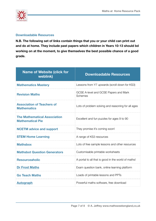

# **Downloadable Resources**

**N.B. The following set of links contain things that you or your child can print out and do at home. They include past papers which children in Years 10-13 should bd working on at the moment, to give themselves the best possible chance of a good grade.** 

| <b>Name of Website (click for</b><br>weblink)                  | <b>Downloadable Resources</b>                           |
|----------------------------------------------------------------|---------------------------------------------------------|
| <b>Mathematics Mastery</b>                                     | Lessons from Y7 upwards (scroll down for KS3)           |
| <b>Revision Maths</b>                                          | GCSE A-level and GCSE Papers and Mark<br><b>Schemes</b> |
| <b>Association of Teachers of</b><br><b>Mathematics</b>        | Lots of problem solving and reasoning for all ages      |
| <b>The Mathematical Association</b><br><b>Mathematical Pie</b> | Excellent and fun puzzles for ages 9 to 90              |
| <b>NCETM advice and support</b>                                | They promise it's coming soon!                          |
| <b>STEM Home Learning</b>                                      | A range of KS3 resources                                |
| <b>Mathsbox</b>                                                | Lots of free sample lessons and other resources         |
| <b>Mathsbot Question Generators</b>                            | Customisable printable worksheets                       |
| <b>Resourceaholic</b>                                          | A portal to all that is good in the world of maths!     |
| <b>Dr Frost Maths</b>                                          | Exam question bank, online learning platform            |
| <b>Go Teach Maths</b>                                          | Loads of printable lessons and PPTs                     |
| <b>Autograph</b>                                               | Powerful maths software, free download                  |